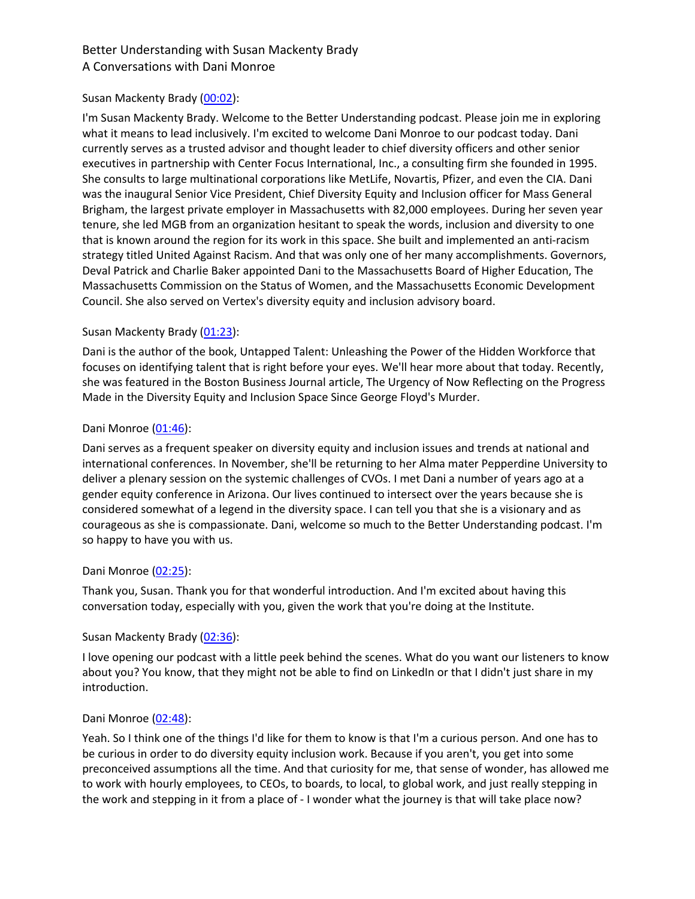## Susan Mackenty Brady (00:02):

I'm Susan Mackenty Brady. Welcome to the Better Understanding podcast. Please join me in exploring what it means to lead inclusively. I'm excited to welcome Dani Monroe to our podcast today. Dani currently serves as a trusted advisor and thought leader to chief diversity officers and other senior executives in partnership with Center Focus International, Inc., a consulting firm she founded in 1995. She consults to large multinational corporations like MetLife, Novartis, Pfizer, and even the CIA. Dani was the inaugural Senior Vice President, Chief Diversity Equity and Inclusion officer for Mass General Brigham, the largest private employer in Massachusetts with 82,000 employees. During her seven year tenure, she led MGB from an organization hesitant to speak the words, inclusion and diversity to one that is known around the region for its work in this space. She built and implemented an anti-racism strategy titled United Against Racism. And that was only one of her many accomplishments. Governors, Deval Patrick and Charlie Baker appointed Dani to the Massachusetts Board of Higher Education, The Massachusetts Commission on the Status of Women, and the Massachusetts Economic Development Council. She also served on Vertex's diversity equity and inclusion advisory board.

## Susan Mackenty Brady (01:23):

Dani is the author of the book, Untapped Talent: Unleashing the Power of the Hidden Workforce that focuses on identifying talent that is right before your eyes. We'll hear more about that today. Recently, she was featured in the Boston Business Journal article, The Urgency of Now Reflecting on the Progress Made in the Diversity Equity and Inclusion Space Since George Floyd's Murder.

## Dani Monroe (01:46):

Dani serves as a frequent speaker on diversity equity and inclusion issues and trends at national and international conferences. In November, she'll be returning to her Alma mater Pepperdine University to deliver a plenary session on the systemic challenges of CVOs. I met Dani a number of years ago at a gender equity conference in Arizona. Our lives continued to intersect over the years because she is considered somewhat of a legend in the diversity space. I can tell you that she is a visionary and as courageous as she is compassionate. Dani, welcome so much to the Better Understanding podcast. I'm so happy to have you with us.

#### Dani Monroe (02:25):

Thank you, Susan. Thank you for that wonderful introduction. And I'm excited about having this conversation today, especially with you, given the work that you're doing at the Institute.

#### Susan Mackenty Brady (02:36):

I love opening our podcast with a little peek behind the scenes. What do you want our listeners to know about you? You know, that they might not be able to find on LinkedIn or that I didn't just share in my introduction.

#### Dani Monroe (02:48):

Yeah. So I think one of the things I'd like for them to know is that I'm a curious person. And one has to be curious in order to do diversity equity inclusion work. Because if you aren't, you get into some preconceived assumptions all the time. And that curiosity for me, that sense of wonder, has allowed me to work with hourly employees, to CEOs, to boards, to local, to global work, and just really stepping in the work and stepping in it from a place of - I wonder what the journey is that will take place now?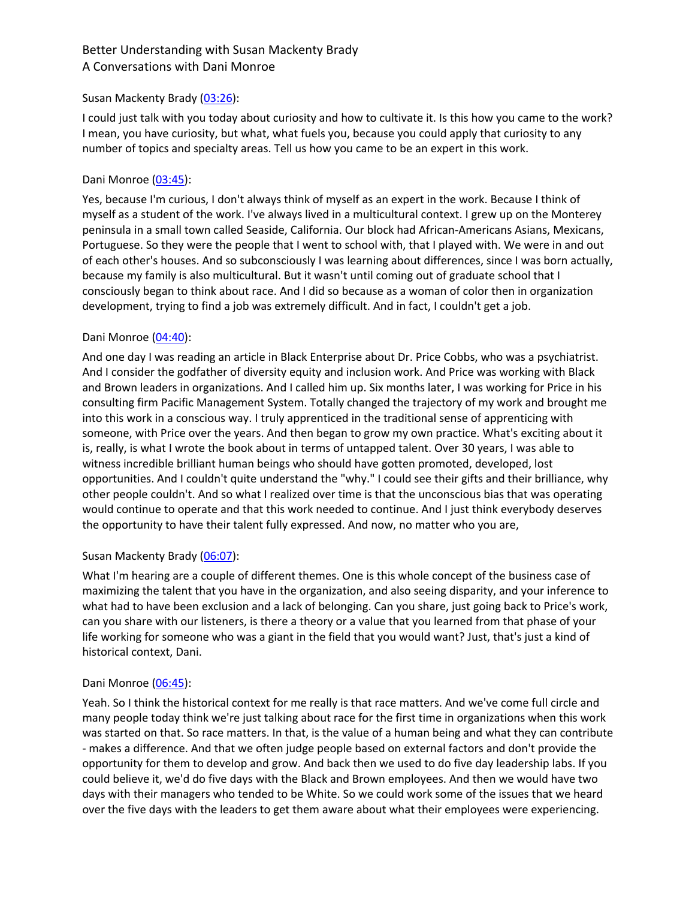### Susan Mackenty Brady (03:26):

I could just talk with you today about curiosity and how to cultivate it. Is this how you came to the work? I mean, you have curiosity, but what, what fuels you, because you could apply that curiosity to any number of topics and specialty areas. Tell us how you came to be an expert in this work.

## Dani Monroe (03:45):

Yes, because I'm curious, I don't always think of myself as an expert in the work. Because I think of myself as a student of the work. I've always lived in a multicultural context. I grew up on the Monterey peninsula in a small town called Seaside, California. Our block had African-Americans Asians, Mexicans, Portuguese. So they were the people that I went to school with, that I played with. We were in and out of each other's houses. And so subconsciously I was learning about differences, since I was born actually, because my family is also multicultural. But it wasn't until coming out of graduate school that I consciously began to think about race. And I did so because as a woman of color then in organization development, trying to find a job was extremely difficult. And in fact, I couldn't get a job.

## Dani Monroe (04:40):

And one day I was reading an article in Black Enterprise about Dr. Price Cobbs, who was a psychiatrist. And I consider the godfather of diversity equity and inclusion work. And Price was working with Black and Brown leaders in organizations. And I called him up. Six months later, I was working for Price in his consulting firm Pacific Management System. Totally changed the trajectory of my work and brought me into this work in a conscious way. I truly apprenticed in the traditional sense of apprenticing with someone, with Price over the years. And then began to grow my own practice. What's exciting about it is, really, is what I wrote the book about in terms of untapped talent. Over 30 years, I was able to witness incredible brilliant human beings who should have gotten promoted, developed, lost opportunities. And I couldn't quite understand the "why." I could see their gifts and their brilliance, why other people couldn't. And so what I realized over time is that the unconscious bias that was operating would continue to operate and that this work needed to continue. And I just think everybody deserves the opportunity to have their talent fully expressed. And now, no matter who you are,

## Susan Mackenty Brady (06:07):

What I'm hearing are a couple of different themes. One is this whole concept of the business case of maximizing the talent that you have in the organization, and also seeing disparity, and your inference to what had to have been exclusion and a lack of belonging. Can you share, just going back to Price's work, can you share with our listeners, is there a theory or a value that you learned from that phase of your life working for someone who was a giant in the field that you would want? Just, that's just a kind of historical context, Dani.

#### Dani Monroe (06:45):

Yeah. So I think the historical context for me really is that race matters. And we've come full circle and many people today think we're just talking about race for the first time in organizations when this work was started on that. So race matters. In that, is the value of a human being and what they can contribute - makes a difference. And that we often judge people based on external factors and don't provide the opportunity for them to develop and grow. And back then we used to do five day leadership labs. If you could believe it, we'd do five days with the Black and Brown employees. And then we would have two days with their managers who tended to be White. So we could work some of the issues that we heard over the five days with the leaders to get them aware about what their employees were experiencing.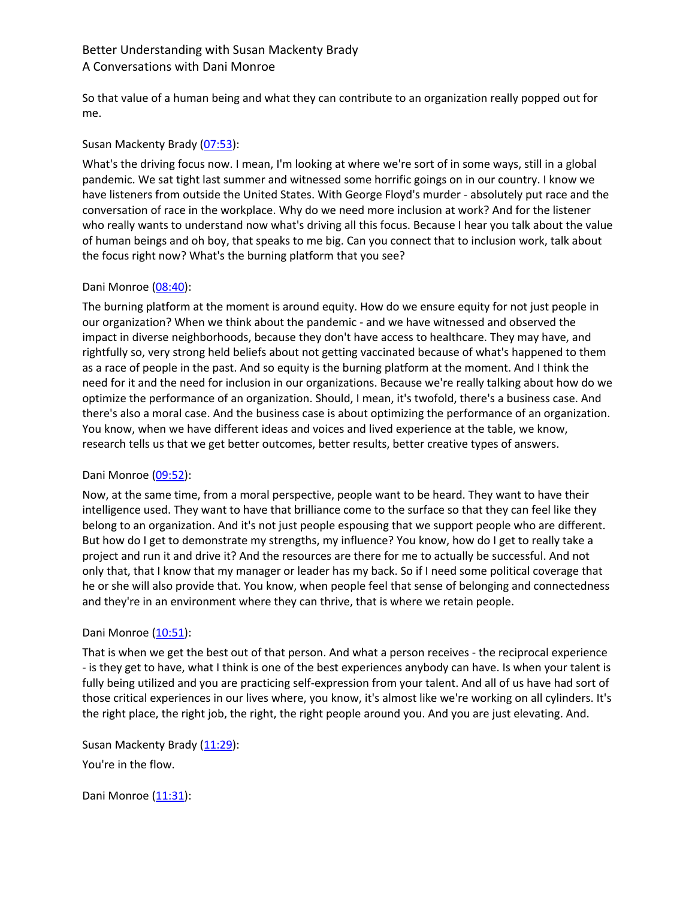So that value of a human being and what they can contribute to an organization really popped out for me.

## Susan Mackenty Brady (07:53):

What's the driving focus now. I mean, I'm looking at where we're sort of in some ways, still in a global pandemic. We sat tight last summer and witnessed some horrific goings on in our country. I know we have listeners from outside the United States. With George Floyd's murder - absolutely put race and the conversation of race in the workplace. Why do we need more inclusion at work? And for the listener who really wants to understand now what's driving all this focus. Because I hear you talk about the value of human beings and oh boy, that speaks to me big. Can you connect that to inclusion work, talk about the focus right now? What's the burning platform that you see?

## Dani Monroe (08:40):

The burning platform at the moment is around equity. How do we ensure equity for not just people in our organization? When we think about the pandemic - and we have witnessed and observed the impact in diverse neighborhoods, because they don't have access to healthcare. They may have, and rightfully so, very strong held beliefs about not getting vaccinated because of what's happened to them as a race of people in the past. And so equity is the burning platform at the moment. And I think the need for it and the need for inclusion in our organizations. Because we're really talking about how do we optimize the performance of an organization. Should, I mean, it's twofold, there's a business case. And there's also a moral case. And the business case is about optimizing the performance of an organization. You know, when we have different ideas and voices and lived experience at the table, we know, research tells us that we get better outcomes, better results, better creative types of answers.

## Dani Monroe (09:52):

Now, at the same time, from a moral perspective, people want to be heard. They want to have their intelligence used. They want to have that brilliance come to the surface so that they can feel like they belong to an organization. And it's not just people espousing that we support people who are different. But how do I get to demonstrate my strengths, my influence? You know, how do I get to really take a project and run it and drive it? And the resources are there for me to actually be successful. And not only that, that I know that my manager or leader has my back. So if I need some political coverage that he or she will also provide that. You know, when people feel that sense of belonging and connectedness and they're in an environment where they can thrive, that is where we retain people.

#### Dani Monroe (10:51):

That is when we get the best out of that person. And what a person receives - the reciprocal experience - is they get to have, what I think is one of the best experiences anybody can have. Is when your talent is fully being utilized and you are practicing self-expression from your talent. And all of us have had sort of those critical experiences in our lives where, you know, it's almost like we're working on all cylinders. It's the right place, the right job, the right, the right people around you. And you are just elevating. And.

Susan Mackenty Brady (11:29): You're in the flow.

Dani Monroe (11:31):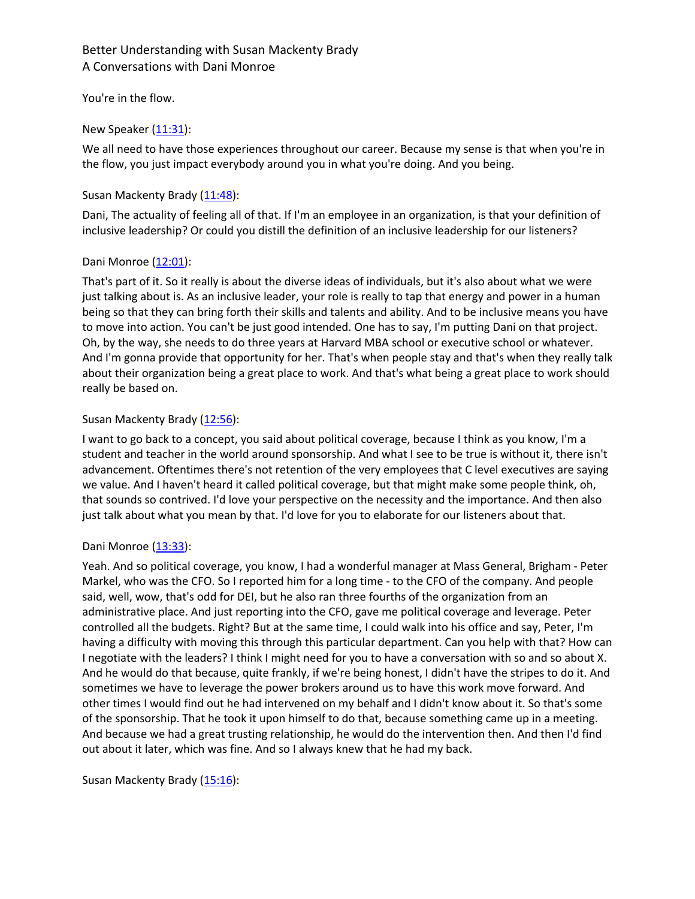## You're in the flow.

## New Speaker  $(11:31)$ :

We all need to have those experiences throughout our career. Because my sense is that when you're in the flow, you just impact everybody around you in what you're doing. And you being.

#### Susan Mackenty Brady (11:48):

Dani, The actuality of feeling all of that. If I'm an employee in an organization, is that your definition of inclusive leadership? Or could you distill the definition of an inclusive leadership for our listeners?

## Dani Monroe  $(12:01)$ :

That's part of it. So it really is about the diverse ideas of individuals, but it's also about what we were just talking about is. As an inclusive leader, your role is really to tap that energy and power in a human being so that they can bring forth their skills and talents and ability. And to be inclusive means you have to move into action. You can't be just good intended. One has to say, I'm putting Dani on that project. Oh, by the way, she needs to do three years at Harvard MBA school or executive school or whatever. And I'm gonna provide that opportunity for her. That's when people stay and that's when they really talk about their organization being a great place to work. And that's what being a great place to work should really be based on.

## Susan Mackenty Brady (12:56):

I want to go back to a concept, you said about political coverage, because I think as you know, I'm a student and teacher in the world around sponsorship. And what I see to be true is without it, there isn't advancement. Oftentimes there's not retention of the very employees that C level executives are saying we value. And I haven't heard it called political coverage, but that might make some people think, oh, that sounds so contrived. I'd love your perspective on the necessity and the importance. And then also just talk about what you mean by that. I'd love for you to elaborate for our listeners about that.

#### Dani Monroe (13:33):

Yeah. And so political coverage, you know, I had a wonderful manager at Mass General, Brigham - Peter Markel, who was the CFO. So I reported him for a long time - to the CFO of the company. And people said, well, wow, that's odd for DEI, but he also ran three fourths of the organization from an administrative place. And just reporting into the CFO, gave me political coverage and leverage. Peter controlled all the budgets. Right? But at the same time, I could walk into his office and say, Peter, I'm having a difficulty with moving this through this particular department. Can you help with that? How can I negotiate with the leaders? I think I might need for you to have a conversation with so and so about X. And he would do that because, quite frankly, if we're being honest, I didn't have the stripes to do it. And sometimes we have to leverage the power brokers around us to have this work move forward. And other times I would find out he had intervened on my behalf and I didn't know about it. So that's some of the sponsorship. That he took it upon himself to do that, because something came up in a meeting. And because we had a great trusting relationship, he would do the intervention then. And then I'd find out about it later, which was fine. And so I always knew that he had my back.

Susan Mackenty Brady (15:16):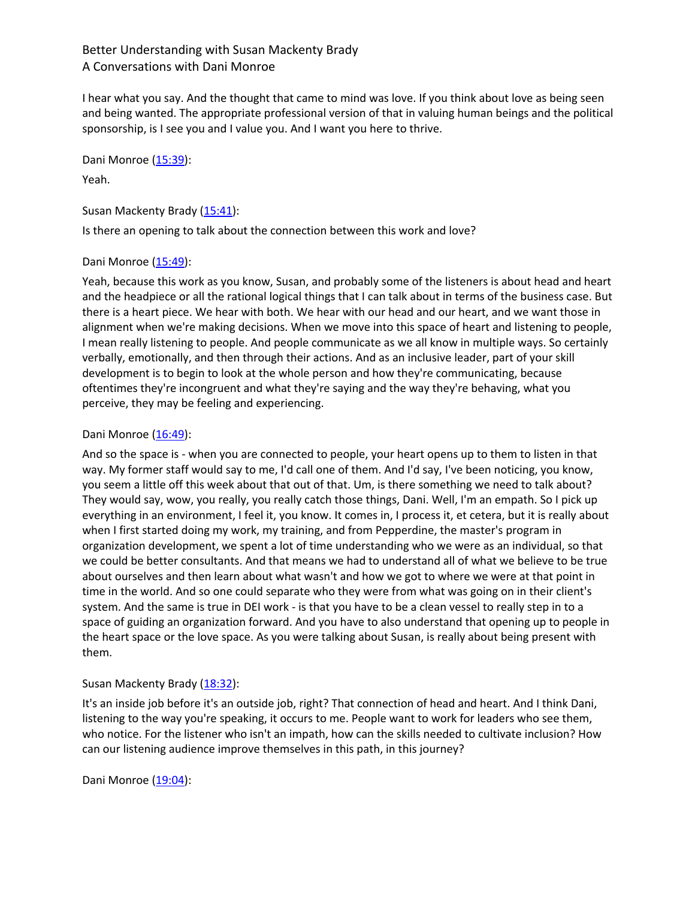I hear what you say. And the thought that came to mind was love. If you think about love as being seen and being wanted. The appropriate professional version of that in valuing human beings and the political sponsorship, is I see you and I value you. And I want you here to thrive.

Dani Monroe (15:39):

## Yeah.

Susan Mackenty Brady (15:41):

Is there an opening to talk about the connection between this work and love?

## Dani Monroe (15:49):

Yeah, because this work as you know, Susan, and probably some of the listeners is about head and heart and the headpiece or all the rational logical things that I can talk about in terms of the business case. But there is a heart piece. We hear with both. We hear with our head and our heart, and we want those in alignment when we're making decisions. When we move into this space of heart and listening to people, I mean really listening to people. And people communicate as we all know in multiple ways. So certainly verbally, emotionally, and then through their actions. And as an inclusive leader, part of your skill development is to begin to look at the whole person and how they're communicating, because oftentimes they're incongruent and what they're saying and the way they're behaving, what you perceive, they may be feeling and experiencing.

## Dani Monroe (16:49):

And so the space is - when you are connected to people, your heart opens up to them to listen in that way. My former staff would say to me, I'd call one of them. And I'd say, I've been noticing, you know, you seem a little off this week about that out of that. Um, is there something we need to talk about? They would say, wow, you really, you really catch those things, Dani. Well, I'm an empath. So I pick up everything in an environment, I feel it, you know. It comes in, I process it, et cetera, but it is really about when I first started doing my work, my training, and from Pepperdine, the master's program in organization development, we spent a lot of time understanding who we were as an individual, so that we could be better consultants. And that means we had to understand all of what we believe to be true about ourselves and then learn about what wasn't and how we got to where we were at that point in time in the world. And so one could separate who they were from what was going on in their client's system. And the same is true in DEI work - is that you have to be a clean vessel to really step in to a space of guiding an organization forward. And you have to also understand that opening up to people in the heart space or the love space. As you were talking about Susan, is really about being present with them.

## Susan Mackenty Brady (18:32):

It's an inside job before it's an outside job, right? That connection of head and heart. And I think Dani, listening to the way you're speaking, it occurs to me. People want to work for leaders who see them, who notice. For the listener who isn't an impath, how can the skills needed to cultivate inclusion? How can our listening audience improve themselves in this path, in this journey?

Dani Monroe (19:04):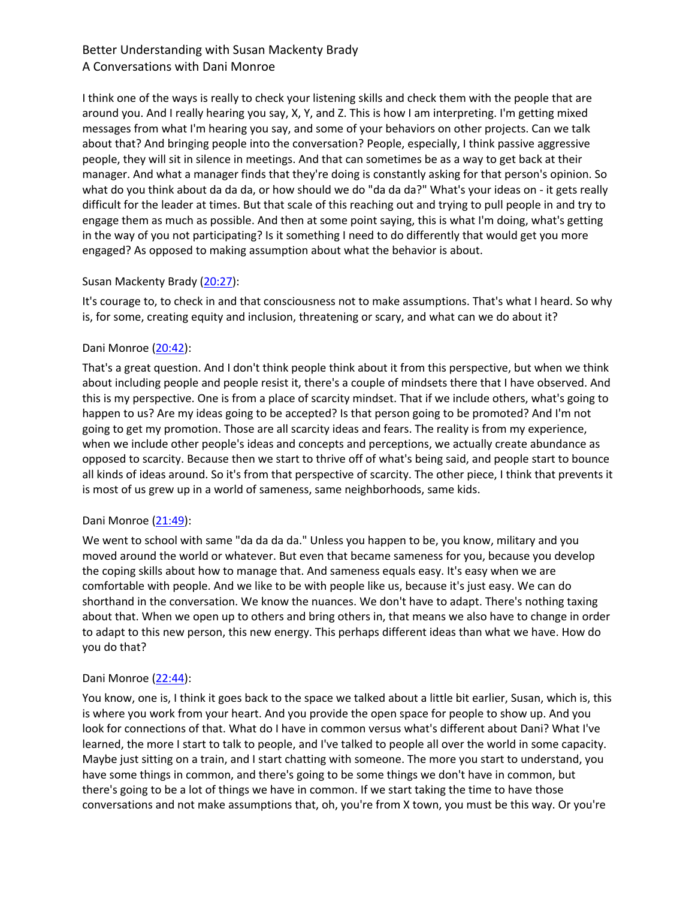I think one of the ways is really to check your listening skills and check them with the people that are around you. And I really hearing you say, X, Y, and Z. This is how I am interpreting. I'm getting mixed messages from what I'm hearing you say, and some of your behaviors on other projects. Can we talk about that? And bringing people into the conversation? People, especially, I think passive aggressive people, they will sit in silence in meetings. And that can sometimes be as a way to get back at their manager. And what a manager finds that they're doing is constantly asking for that person's opinion. So what do you think about da da da, or how should we do "da da da?" What's your ideas on - it gets really difficult for the leader at times. But that scale of this reaching out and trying to pull people in and try to engage them as much as possible. And then at some point saying, this is what I'm doing, what's getting in the way of you not participating? Is it something I need to do differently that would get you more engaged? As opposed to making assumption about what the behavior is about.

## Susan Mackenty Brady (20:27):

It's courage to, to check in and that consciousness not to make assumptions. That's what I heard. So why is, for some, creating equity and inclusion, threatening or scary, and what can we do about it?

## Dani Monroe (20:42):

That's a great question. And I don't think people think about it from this perspective, but when we think about including people and people resist it, there's a couple of mindsets there that I have observed. And this is my perspective. One is from a place of scarcity mindset. That if we include others, what's going to happen to us? Are my ideas going to be accepted? Is that person going to be promoted? And I'm not going to get my promotion. Those are all scarcity ideas and fears. The reality is from my experience, when we include other people's ideas and concepts and perceptions, we actually create abundance as opposed to scarcity. Because then we start to thrive off of what's being said, and people start to bounce all kinds of ideas around. So it's from that perspective of scarcity. The other piece, I think that prevents it is most of us grew up in a world of sameness, same neighborhoods, same kids.

#### Dani Monroe (21:49):

We went to school with same "da da da da." Unless you happen to be, you know, military and you moved around the world or whatever. But even that became sameness for you, because you develop the coping skills about how to manage that. And sameness equals easy. It's easy when we are comfortable with people. And we like to be with people like us, because it's just easy. We can do shorthand in the conversation. We know the nuances. We don't have to adapt. There's nothing taxing about that. When we open up to others and bring others in, that means we also have to change in order to adapt to this new person, this new energy. This perhaps different ideas than what we have. How do you do that?

#### Dani Monroe (22:44):

You know, one is, I think it goes back to the space we talked about a little bit earlier, Susan, which is, this is where you work from your heart. And you provide the open space for people to show up. And you look for connections of that. What do I have in common versus what's different about Dani? What I've learned, the more I start to talk to people, and I've talked to people all over the world in some capacity. Maybe just sitting on a train, and I start chatting with someone. The more you start to understand, you have some things in common, and there's going to be some things we don't have in common, but there's going to be a lot of things we have in common. If we start taking the time to have those conversations and not make assumptions that, oh, you're from X town, you must be this way. Or you're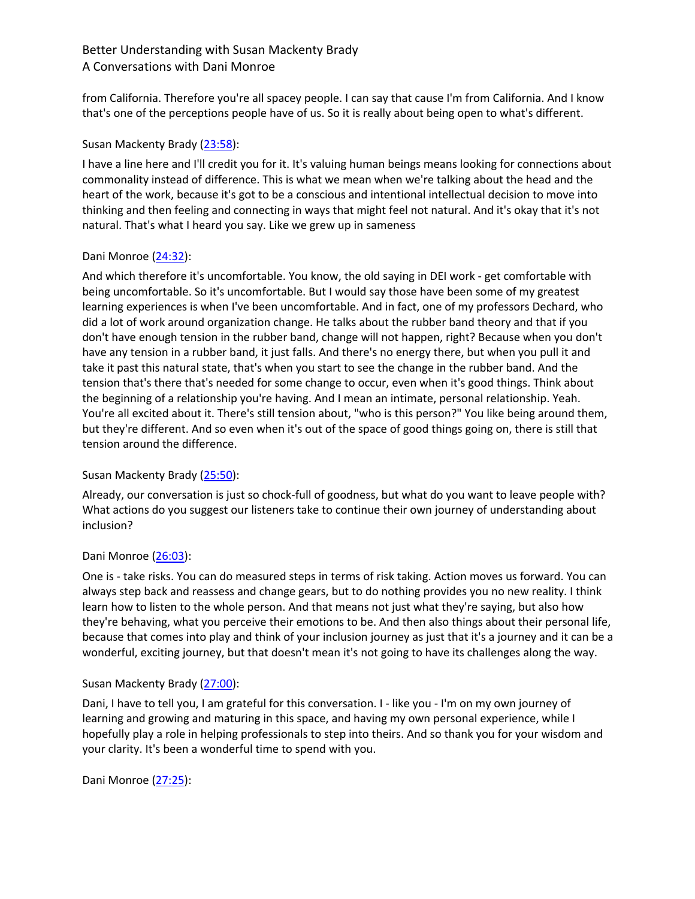from California. Therefore you're all spacey people. I can say that cause I'm from California. And I know that's one of the perceptions people have of us. So it is really about being open to what's different.

## Susan Mackenty Brady (23:58):

I have a line here and I'll credit you for it. It's valuing human beings means looking for connections about commonality instead of difference. This is what we mean when we're talking about the head and the heart of the work, because it's got to be a conscious and intentional intellectual decision to move into thinking and then feeling and connecting in ways that might feel not natural. And it's okay that it's not natural. That's what I heard you say. Like we grew up in sameness

## Dani Monroe (24:32):

And which therefore it's uncomfortable. You know, the old saying in DEI work - get comfortable with being uncomfortable. So it's uncomfortable. But I would say those have been some of my greatest learning experiences is when I've been uncomfortable. And in fact, one of my professors Dechard, who did a lot of work around organization change. He talks about the rubber band theory and that if you don't have enough tension in the rubber band, change will not happen, right? Because when you don't have any tension in a rubber band, it just falls. And there's no energy there, but when you pull it and take it past this natural state, that's when you start to see the change in the rubber band. And the tension that's there that's needed for some change to occur, even when it's good things. Think about the beginning of a relationship you're having. And I mean an intimate, personal relationship. Yeah. You're all excited about it. There's still tension about, "who is this person?" You like being around them, but they're different. And so even when it's out of the space of good things going on, there is still that tension around the difference.

## Susan Mackenty Brady (25:50):

Already, our conversation is just so chock-full of goodness, but what do you want to leave people with? What actions do you suggest our listeners take to continue their own journey of understanding about inclusion?

## Dani Monroe (26:03):

One is - take risks. You can do measured steps in terms of risk taking. Action moves us forward. You can always step back and reassess and change gears, but to do nothing provides you no new reality. I think learn how to listen to the whole person. And that means not just what they're saying, but also how they're behaving, what you perceive their emotions to be. And then also things about their personal life, because that comes into play and think of your inclusion journey as just that it's a journey and it can be a wonderful, exciting journey, but that doesn't mean it's not going to have its challenges along the way.

#### Susan Mackenty Brady (27:00):

Dani, I have to tell you, I am grateful for this conversation. I - like you - I'm on my own journey of learning and growing and maturing in this space, and having my own personal experience, while I hopefully play a role in helping professionals to step into theirs. And so thank you for your wisdom and your clarity. It's been a wonderful time to spend with you.

Dani Monroe (27:25):